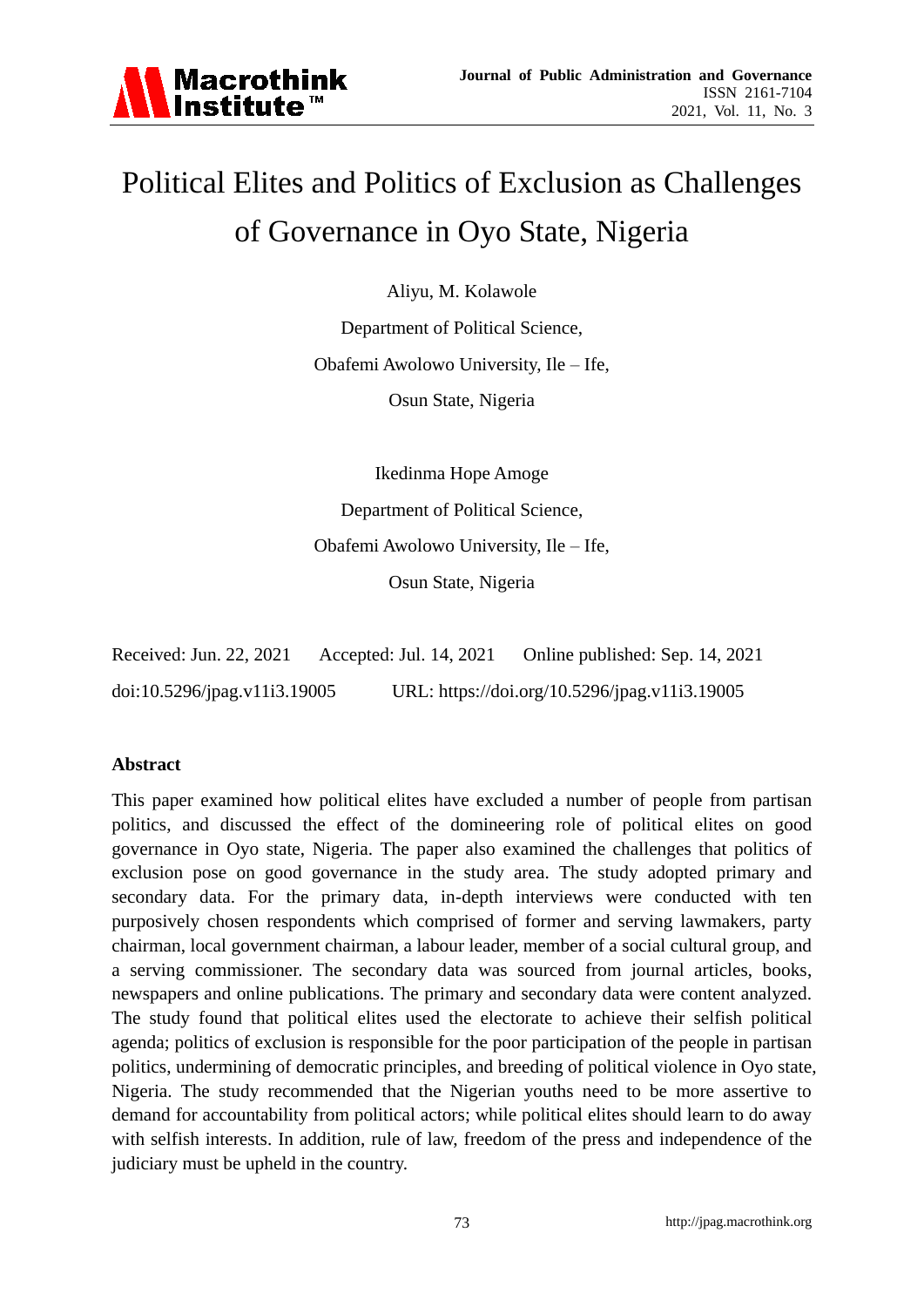

# Political Elites and Politics of Exclusion as Challenges of Governance in Oyo State, Nigeria

Aliyu, M. Kolawole

Department of Political Science, Obafemi Awolowo University, Ile – Ife, Osun State, Nigeria

Ikedinma Hope Amoge Department of Political Science, Obafemi Awolowo University, Ile – Ife, Osun State, Nigeria

| Received: Jun. 22, 2021      | Accepted: Jul. 14, 2021 | Online published: Sep. 14, 2021               |
|------------------------------|-------------------------|-----------------------------------------------|
| doi:10.5296/jpag.v11i3.19005 |                         | URL: https://doi.org/10.5296/jpag.v11i3.19005 |

# **Abstract**

This paper examined how political elites have excluded a number of people from partisan politics, and discussed the effect of the domineering role of political elites on good governance in Oyo state, Nigeria. The paper also examined the challenges that politics of exclusion pose on good governance in the study area. The study adopted primary and secondary data. For the primary data, in-depth interviews were conducted with ten purposively chosen respondents which comprised of former and serving lawmakers, party chairman, local government chairman, a labour leader, member of a social cultural group, and a serving commissioner. The secondary data was sourced from journal articles, books, newspapers and online publications. The primary and secondary data were content analyzed. The study found that political elites used the electorate to achieve their selfish political agenda; politics of exclusion is responsible for the poor participation of the people in partisan politics, undermining of democratic principles, and breeding of political violence in Oyo state, Nigeria. The study recommended that the Nigerian youths need to be more assertive to demand for accountability from political actors; while political elites should learn to do away with selfish interests. In addition, rule of law, freedom of the press and independence of the judiciary must be upheld in the country.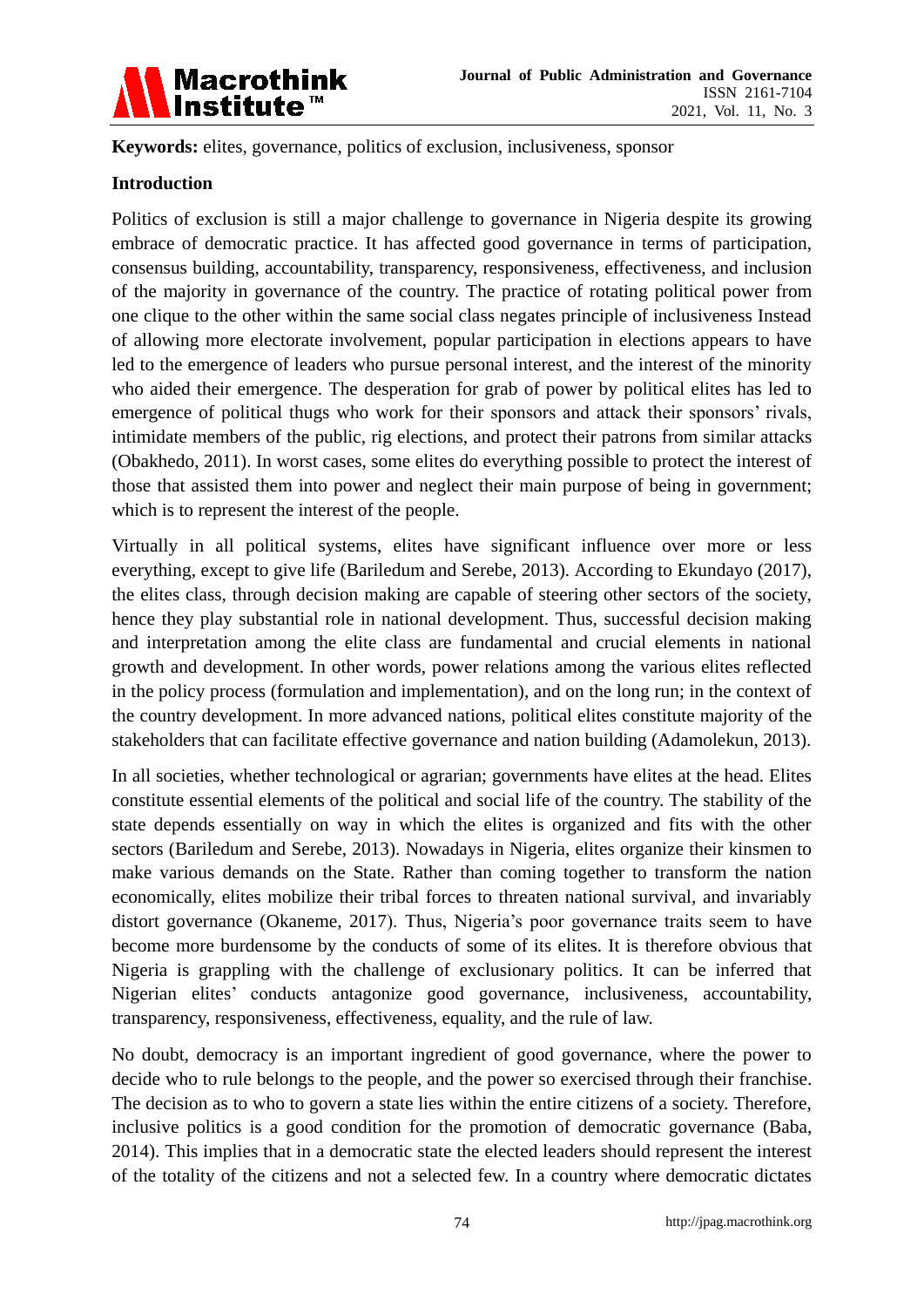

**Keywords:** elites, governance, politics of exclusion, inclusiveness, sponsor

# **Introduction**

Politics of exclusion is still a major challenge to governance in Nigeria despite its growing embrace of democratic practice. It has affected good governance in terms of participation, consensus building, accountability, transparency, responsiveness, effectiveness, and inclusion of the majority in governance of the country. The practice of rotating political power from one clique to the other within the same social class negates principle of inclusiveness Instead of allowing more electorate involvement, popular participation in elections appears to have led to the emergence of leaders who pursue personal interest, and the interest of the minority who aided their emergence. The desperation for grab of power by political elites has led to emergence of political thugs who work for their sponsors and attack their sponsors' rivals, intimidate members of the public, rig elections, and protect their patrons from similar attacks (Obakhedo, 2011). In worst cases, some elites do everything possible to protect the interest of those that assisted them into power and neglect their main purpose of being in government; which is to represent the interest of the people.

Virtually in all political systems, elites have significant influence over more or less everything, except to give life (Bariledum and Serebe, 2013). According to Ekundayo (2017), the elites class, through decision making are capable of steering other sectors of the society, hence they play substantial role in national development. Thus, successful decision making and interpretation among the elite class are fundamental and crucial elements in national growth and development. In other words, power relations among the various elites reflected in the policy process (formulation and implementation), and on the long run; in the context of the country development. In more advanced nations, political elites constitute majority of the stakeholders that can facilitate effective governance and nation building (Adamolekun, 2013).

In all societies, whether technological or agrarian; governments have elites at the head. Elites constitute essential elements of the political and social life of the country. The stability of the state depends essentially on way in which the elites is organized and fits with the other sectors (Bariledum and Serebe, 2013). Nowadays in Nigeria, elites organize their kinsmen to make various demands on the State. Rather than coming together to transform the nation economically, elites mobilize their tribal forces to threaten national survival, and invariably distort governance (Okaneme, 2017). Thus, Nigeria's poor governance traits seem to have become more burdensome by the conducts of some of its elites. It is therefore obvious that Nigeria is grappling with the challenge of exclusionary politics. It can be inferred that Nigerian elites' conducts antagonize good governance, inclusiveness, accountability, transparency, responsiveness, effectiveness, equality, and the rule of law.

No doubt, democracy is an important ingredient of good governance, where the power to decide who to rule belongs to the people, and the power so exercised through their franchise. The decision as to who to govern a state lies within the entire citizens of a society. Therefore, inclusive politics is a good condition for the promotion of democratic governance (Baba, 2014). This implies that in a democratic state the elected leaders should represent the interest of the totality of the citizens and not a selected few. In a country where democratic dictates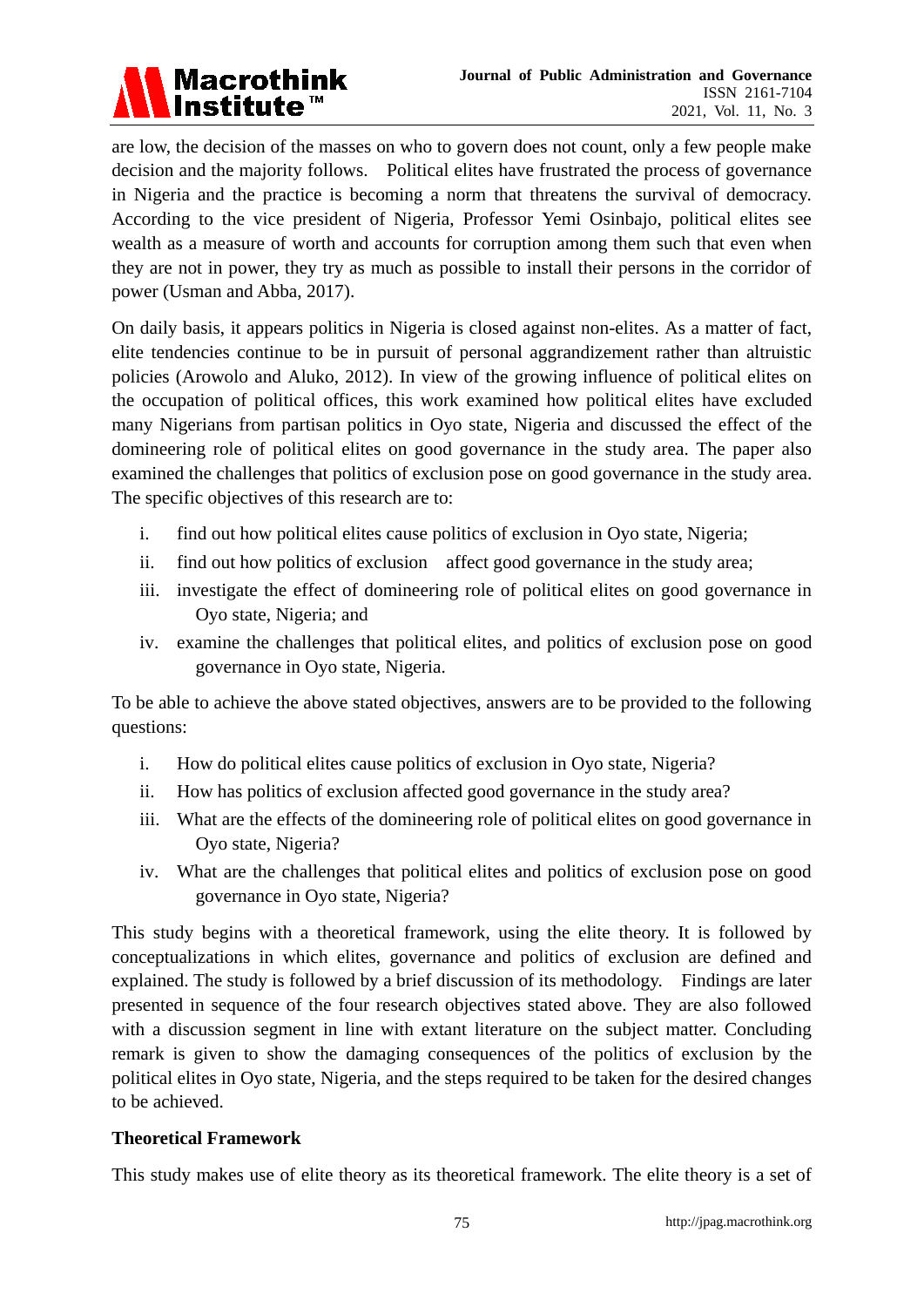

are low, the decision of the masses on who to govern does not count, only a few people make decision and the majority follows. Political elites have frustrated the process of governance in Nigeria and the practice is becoming a norm that threatens the survival of democracy. According to the vice president of Nigeria, Professor Yemi Osinbajo, political elites see wealth as a measure of worth and accounts for corruption among them such that even when they are not in power, they try as much as possible to install their persons in the corridor of power (Usman and Abba, 2017).

On daily basis, it appears politics in Nigeria is closed against non-elites. As a matter of fact, elite tendencies continue to be in pursuit of personal aggrandizement rather than altruistic policies (Arowolo and Aluko, 2012). In view of the growing influence of political elites on the occupation of political offices, this work examined how political elites have excluded many Nigerians from partisan politics in Oyo state, Nigeria and discussed the effect of the domineering role of political elites on good governance in the study area. The paper also examined the challenges that politics of exclusion pose on good governance in the study area. The specific objectives of this research are to:

- i. find out how political elites cause politics of exclusion in Oyo state, Nigeria;
- ii. find out how politics of exclusion affect good governance in the study area;
- iii. investigate the effect of domineering role of political elites on good governance in Oyo state, Nigeria; and
- iv. examine the challenges that political elites, and politics of exclusion pose on good governance in Oyo state, Nigeria.

To be able to achieve the above stated objectives, answers are to be provided to the following questions:

- i. How do political elites cause politics of exclusion in Oyo state, Nigeria?
- ii. How has politics of exclusion affected good governance in the study area?
- iii. What are the effects of the domineering role of political elites on good governance in Oyo state, Nigeria?
- iv. What are the challenges that political elites and politics of exclusion pose on good governance in Oyo state, Nigeria?

This study begins with a theoretical framework, using the elite theory. It is followed by conceptualizations in which elites, governance and politics of exclusion are defined and explained. The study is followed by a brief discussion of its methodology. Findings are later presented in sequence of the four research objectives stated above. They are also followed with a discussion segment in line with extant literature on the subject matter. Concluding remark is given to show the damaging consequences of the politics of exclusion by the political elites in Oyo state, Nigeria, and the steps required to be taken for the desired changes to be achieved.

# **Theoretical Framework**

This study makes use of elite theory as its theoretical framework. The elite theory is a set of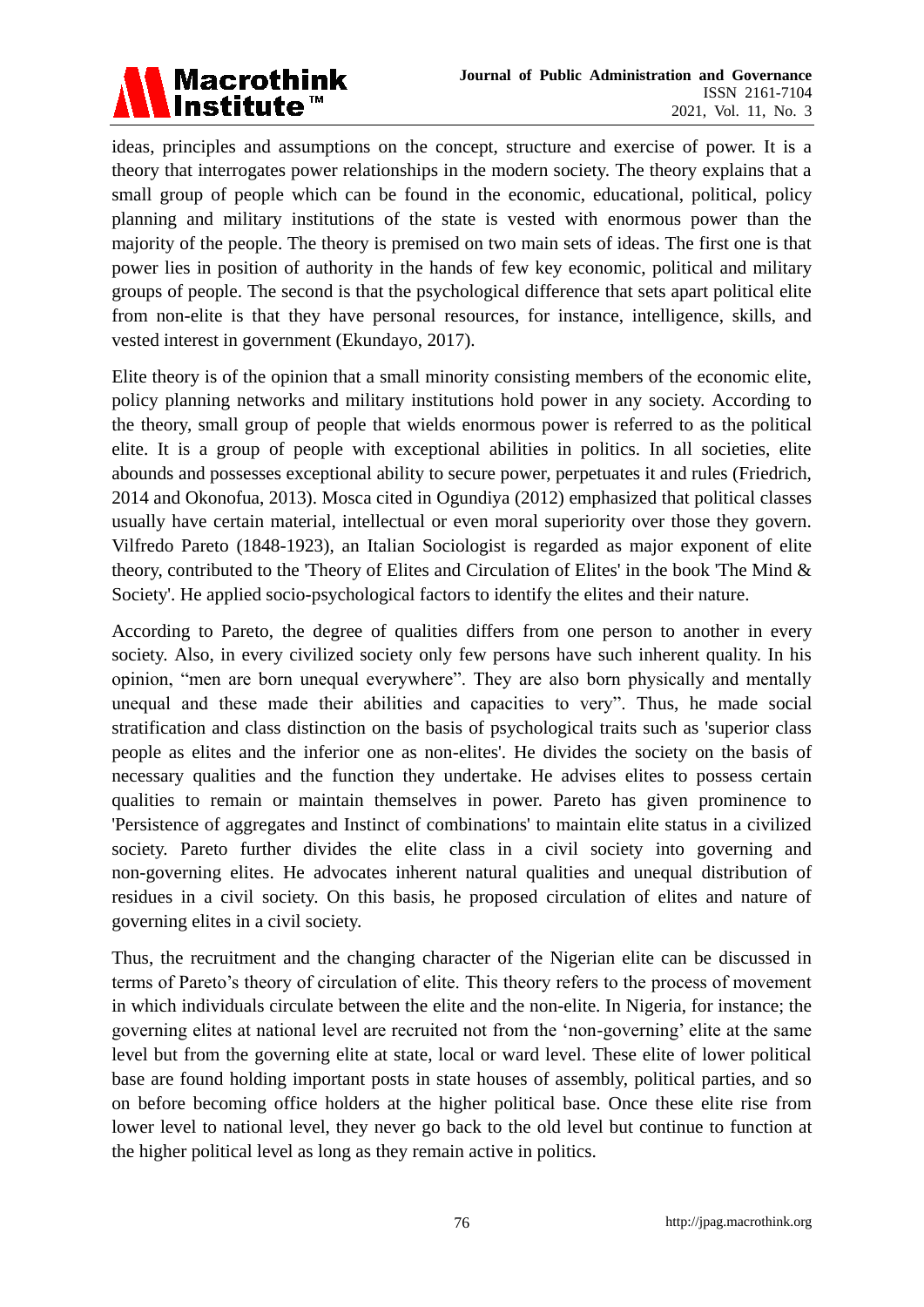

ideas, principles and assumptions on the concept, structure and exercise of power. It is a theory that interrogates power relationships in the modern society. The theory explains that a small group of people which can be found in the economic, educational, political, policy planning and military institutions of the state is vested with enormous power than the majority of the people. The theory is premised on two main sets of ideas. The first one is that power lies in position of authority in the hands of few key economic, political and military groups of people. The second is that the psychological difference that sets apart political elite from non-elite is that they have personal resources, for instance, intelligence, skills, and vested interest in government (Ekundayo, 2017).

Elite theory is of the opinion that a small minority consisting members of the economic elite, policy planning networks and military institutions hold power in any society. According to the theory, small group of people that wields enormous power is referred to as the political elite. It is a group of people with exceptional abilities in politics. In all societies, elite abounds and possesses exceptional ability to secure power, perpetuates it and rules (Friedrich, 2014 and Okonofua, 2013). Mosca cited in Ogundiya (2012) emphasized that political classes usually have certain material, intellectual or even moral superiority over those they govern. Vilfredo Pareto (1848-1923), an Italian Sociologist is regarded as major exponent of elite theory, contributed to the 'Theory of Elites and Circulation of Elites' in the book 'The Mind & Society'. He applied socio-psychological factors to identify the elites and their nature.

According to Pareto, the degree of qualities differs from one person to another in every society. Also, in every civilized society only few persons have such inherent quality. In his opinion, "men are born unequal everywhere". They are also born physically and mentally unequal and these made their abilities and capacities to very". Thus, he made social stratification and class distinction on the basis of psychological traits such as 'superior class people as elites and the inferior one as non-elites'. He divides the society on the basis of necessary qualities and the function they undertake. He advises elites to possess certain qualities to remain or maintain themselves in power. Pareto has given prominence to 'Persistence of aggregates and Instinct of combinations' to maintain elite status in a civilized society. Pareto further divides the elite class in a civil society into governing and non-governing elites. He advocates inherent natural qualities and unequal distribution of residues in a civil society. On this basis, he proposed circulation of elites and nature of governing elites in a civil society.

Thus, the recruitment and the changing character of the Nigerian elite can be discussed in terms of Pareto's theory of circulation of elite. This theory refers to the process of movement in which individuals circulate between the elite and the non-elite. In Nigeria, for instance; the governing elites at national level are recruited not from the 'non-governing' elite at the same level but from the governing elite at state, local or ward level. These elite of lower political base are found holding important posts in state houses of assembly, political parties, and so on before becoming office holders at the higher political base. Once these elite rise from lower level to national level, they never go back to the old level but continue to function at the higher political level as long as they remain active in politics.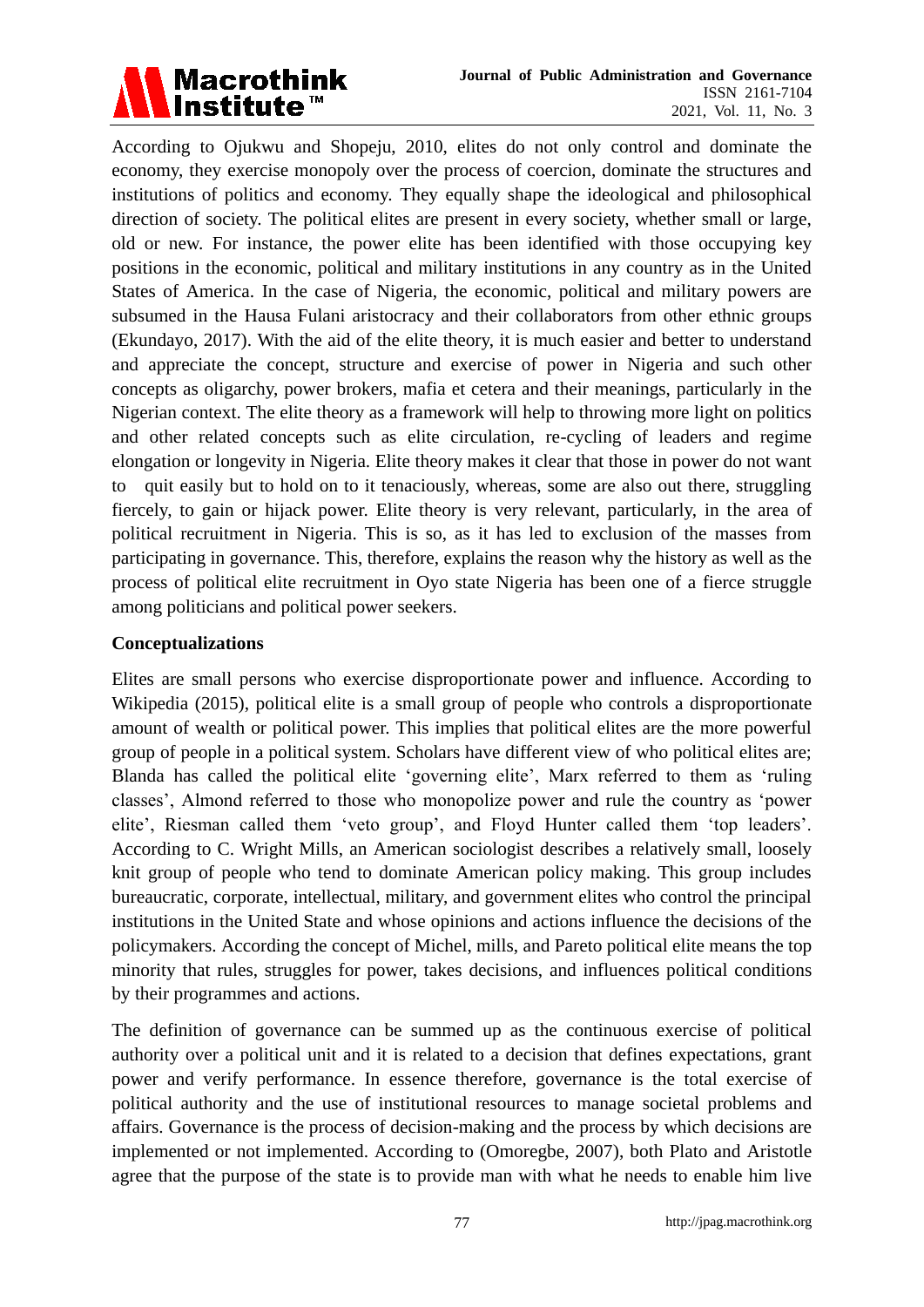

According to Ojukwu and Shopeju, 2010, elites do not only control and dominate the economy, they exercise monopoly over the process of coercion, dominate the structures and institutions of politics and economy. They equally shape the ideological and philosophical direction of society. The political elites are present in every society, whether small or large, old or new. For instance, the power elite has been identified with those occupying key positions in the economic, political and military institutions in any country as in the United States of America. In the case of Nigeria, the economic, political and military powers are subsumed in the Hausa Fulani aristocracy and their collaborators from other ethnic groups (Ekundayo, 2017). With the aid of the elite theory, it is much easier and better to understand and appreciate the concept, structure and exercise of power in Nigeria and such other concepts as oligarchy, power brokers, mafia et cetera and their meanings, particularly in the Nigerian context. The elite theory as a framework will help to throwing more light on politics and other related concepts such as elite circulation, re-cycling of leaders and regime elongation or longevity in Nigeria. Elite theory makes it clear that those in power do not want to quit easily but to hold on to it tenaciously, whereas, some are also out there, struggling fiercely, to gain or hijack power. Elite theory is very relevant, particularly, in the area of political recruitment in Nigeria. This is so, as it has led to exclusion of the masses from participating in governance. This, therefore, explains the reason why the history as well as the process of political elite recruitment in Oyo state Nigeria has been one of a fierce struggle among politicians and political power seekers.

# **Conceptualizations**

Elites are small persons who exercise disproportionate power and influence. According to Wikipedia (2015), political elite is a small group of people who controls a disproportionate amount of wealth or political power. This implies that political elites are the more powerful group of people in a political system. Scholars have different view of who political elites are; Blanda has called the political elite 'governing elite', Marx referred to them as 'ruling classes', Almond referred to those who monopolize power and rule the country as 'power elite', Riesman called them 'veto group', and Floyd Hunter called them 'top leaders'. According to C. Wright Mills, an American sociologist describes a relatively small, loosely knit group of people who tend to dominate American policy making. This group includes bureaucratic, corporate, intellectual, military, and government elites who control the principal institutions in the United State and whose opinions and actions influence the decisions of the policymakers. According the concept of Michel, mills, and Pareto political elite means the top minority that rules, struggles for power, takes decisions, and influences political conditions by their programmes and actions.

The definition of governance can be summed up as the continuous exercise of political authority over a political unit and it is related to a decision that defines expectations, grant power and verify performance. In essence therefore, governance is the total exercise of political authority and the use of institutional resources to manage societal problems and affairs. Governance is the process of decision-making and the process by which decisions are implemented or not implemented. According to (Omoregbe, 2007), both Plato and Aristotle agree that the purpose of the state is to provide man with what he needs to enable him live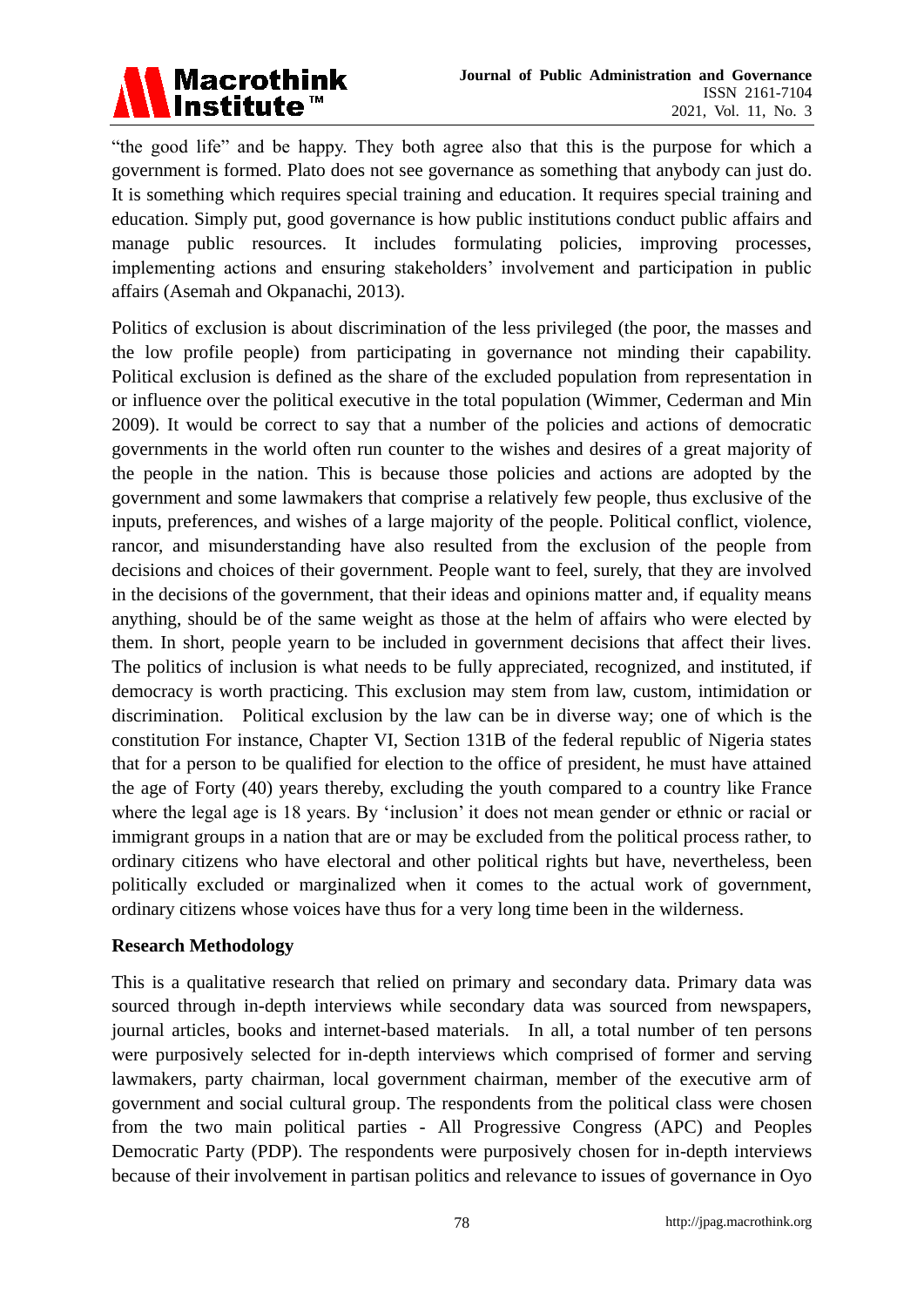

"the good life" and be happy. They both agree also that this is the purpose for which a government is formed. Plato does not see governance as something that anybody can just do. It is something which requires special training and education. It requires special training and education. Simply put, good governance is how public institutions conduct public affairs and manage public resources. It includes formulating policies, improving processes, implementing actions and ensuring stakeholders' involvement and participation in public affairs (Asemah and Okpanachi, 2013).

Politics of exclusion is about discrimination of the less privileged (the poor, the masses and the low profile people) from participating in governance not minding their capability. Political exclusion is defined as the share of the excluded population from representation in or influence over the political executive in the total population (Wimmer, Cederman and Min 2009). It would be correct to say that a number of the policies and actions of democratic governments in the world often run counter to the wishes and desires of a great majority of the people in the nation. This is because those policies and actions are adopted by the government and some lawmakers that comprise a relatively few people, thus exclusive of the inputs, preferences, and wishes of a large majority of the people. Political conflict, violence, rancor, and misunderstanding have also resulted from the exclusion of the people from decisions and choices of their government. People want to feel, surely, that they are involved in the decisions of the government, that their ideas and opinions matter and, if equality means anything, should be of the same weight as those at the helm of affairs who were elected by them. In short, people yearn to be included in government decisions that affect their lives. The politics of inclusion is what needs to be fully appreciated, recognized, and instituted, if democracy is worth practicing. This exclusion may stem from law, custom, intimidation or discrimination. Political exclusion by the law can be in diverse way; one of which is the constitution For instance, Chapter VI, Section 131B of the federal republic of Nigeria states that for a person to be qualified for election to the office of president, he must have attained the age of Forty (40) years thereby, excluding the youth compared to a country like France where the legal age is 18 years. By 'inclusion' it does not mean gender or ethnic or racial or immigrant groups in a nation that are or may be excluded from the political process rather, to ordinary citizens who have electoral and other political rights but have, nevertheless, been politically excluded or marginalized when it comes to the actual work of government, ordinary citizens whose voices have thus for a very long time been in the wilderness.

# **Research Methodology**

This is a qualitative research that relied on primary and secondary data. Primary data was sourced through in-depth interviews while secondary data was sourced from newspapers, journal articles, books and internet-based materials. In all, a total number of ten persons were purposively selected for in-depth interviews which comprised of former and serving lawmakers, party chairman, local government chairman, member of the executive arm of government and social cultural group. The respondents from the political class were chosen from the two main political parties - All Progressive Congress (APC) and Peoples Democratic Party (PDP). The respondents were purposively chosen for in-depth interviews because of their involvement in partisan politics and relevance to issues of governance in Oyo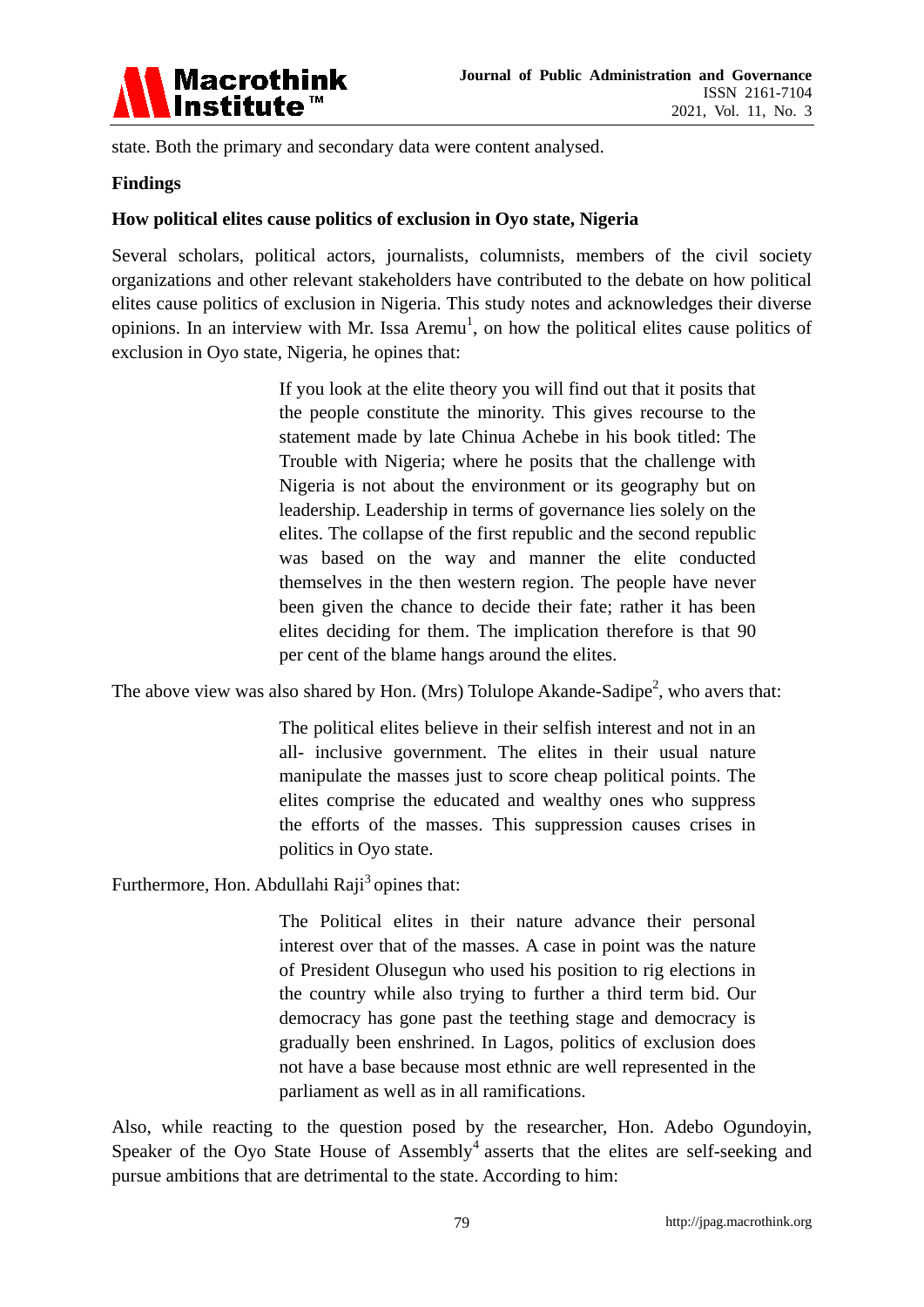

state. Both the primary and secondary data were content analysed.

# **Findings**

# **How political elites cause politics of exclusion in Oyo state, Nigeria**

Several scholars, political actors, journalists, columnists, members of the civil society organizations and other relevant stakeholders have contributed to the debate on how political elites cause politics of exclusion in Nigeria. This study notes and acknowledges their diverse opinions. In an interview with Mr. Issa Aremu<sup>1</sup>, on how the political elites cause politics of exclusion in Oyo state, Nigeria, he opines that:

> If you look at the elite theory you will find out that it posits that the people constitute the minority. This gives recourse to the statement made by late Chinua Achebe in his book titled: The Trouble with Nigeria; where he posits that the challenge with Nigeria is not about the environment or its geography but on leadership. Leadership in terms of governance lies solely on the elites. The collapse of the first republic and the second republic was based on the way and manner the elite conducted themselves in the then western region. The people have never been given the chance to decide their fate; rather it has been elites deciding for them. The implication therefore is that 90 per cent of the blame hangs around the elites.

The above view was also shared by Hon. (Mrs) Tolulope Akande-Sadipe<sup>2</sup>, who avers that:

The political elites believe in their selfish interest and not in an all- inclusive government. The elites in their usual nature manipulate the masses just to score cheap political points. The elites comprise the educated and wealthy ones who suppress the efforts of the masses. This suppression causes crises in politics in Oyo state.

Furthermore, Hon. Abdullahi Raji<sup>3</sup> opines that:

The Political elites in their nature advance their personal interest over that of the masses. A case in point was the nature of President Olusegun who used his position to rig elections in the country while also trying to further a third term bid. Our democracy has gone past the teething stage and democracy is gradually been enshrined. In Lagos, politics of exclusion does not have a base because most ethnic are well represented in the parliament as well as in all ramifications.

Also, while reacting to the question posed by the researcher, Hon. Adebo Ogundoyin, Speaker of the Oyo State House of Assembly<sup>4</sup> asserts that the elites are self-seeking and pursue ambitions that are detrimental to the state. According to him: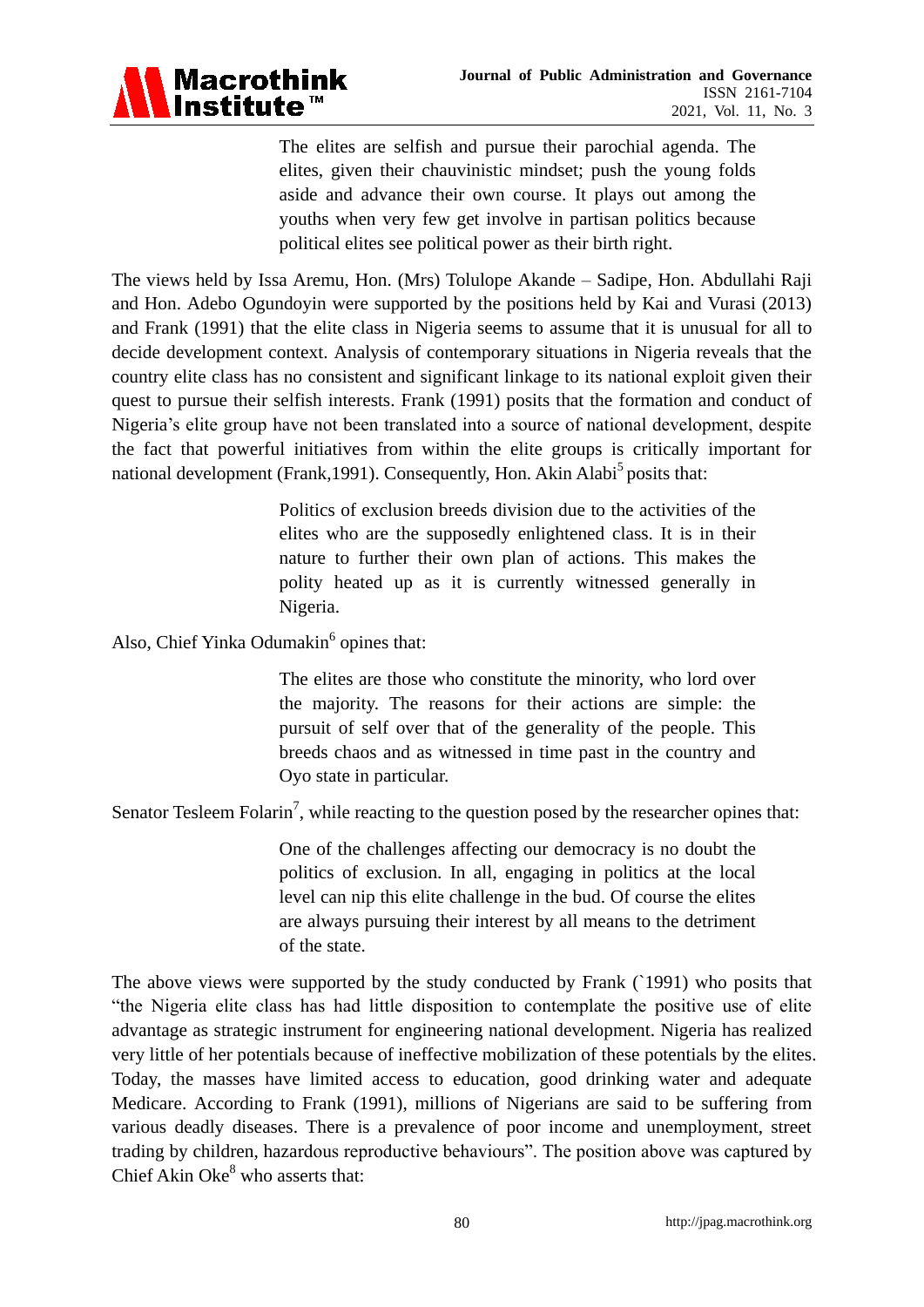

The elites are selfish and pursue their parochial agenda. The elites, given their chauvinistic mindset; push the young folds aside and advance their own course. It plays out among the youths when very few get involve in partisan politics because political elites see political power as their birth right.

The views held by Issa Aremu, Hon. (Mrs) Tolulope Akande – Sadipe, Hon. Abdullahi Raji and Hon. Adebo Ogundoyin were supported by the positions held by Kai and Vurasi (2013) and Frank (1991) that the elite class in Nigeria seems to assume that it is unusual for all to decide development context. Analysis of contemporary situations in Nigeria reveals that the country elite class has no consistent and significant linkage to its national exploit given their quest to pursue their selfish interests. Frank (1991) posits that the formation and conduct of Nigeria's elite group have not been translated into a source of national development, despite the fact that powerful initiatives from within the elite groups is critically important for national development (Frank, 1991). Consequently, Hon. Akin Alabi<sup>5</sup> posits that:

> Politics of exclusion breeds division due to the activities of the elites who are the supposedly enlightened class. It is in their nature to further their own plan of actions. This makes the polity heated up as it is currently witnessed generally in Nigeria.

Also, Chief Yinka Odumakin<sup>6</sup> opines that:

The elites are those who constitute the minority, who lord over the majority. The reasons for their actions are simple: the pursuit of self over that of the generality of the people. This breeds chaos and as witnessed in time past in the country and Oyo state in particular.

Senator Tesleem Folarin<sup>7</sup>, while reacting to the question posed by the researcher opines that:

One of the challenges affecting our democracy is no doubt the politics of exclusion. In all, engaging in politics at the local level can nip this elite challenge in the bud. Of course the elites are always pursuing their interest by all means to the detriment of the state.

The above views were supported by the study conducted by Frank (`1991) who posits that "the Nigeria elite class has had little disposition to contemplate the positive use of elite advantage as strategic instrument for engineering national development. Nigeria has realized very little of her potentials because of ineffective mobilization of these potentials by the elites. Today, the masses have limited access to education, good drinking water and adequate Medicare. According to Frank (1991), millions of Nigerians are said to be suffering from various deadly diseases. There is a prevalence of poor income and unemployment, street trading by children, hazardous reproductive behaviours". The position above was captured by Chief Akin  $Oke^8$  who asserts that: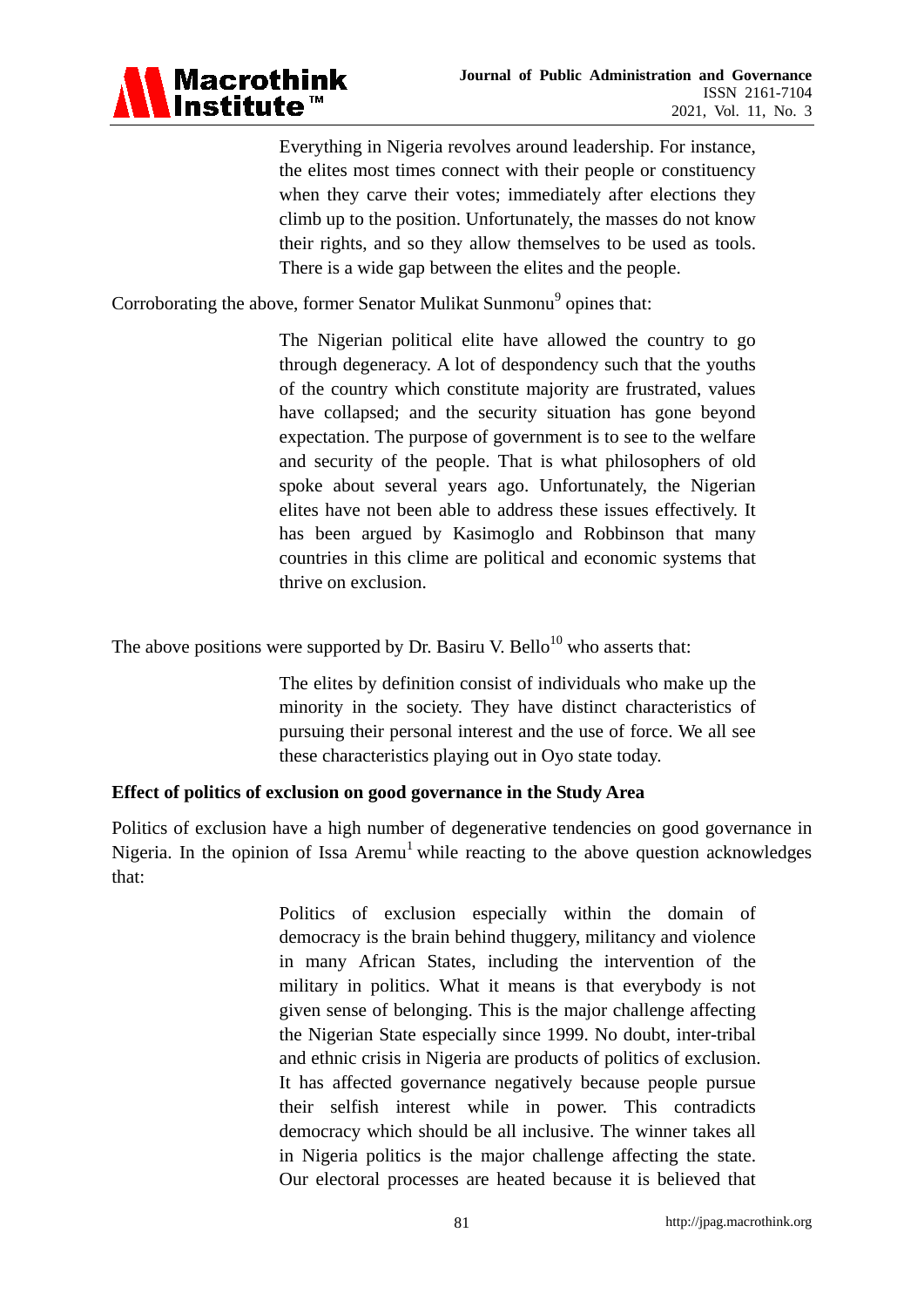

Everything in Nigeria revolves around leadership. For instance, the elites most times connect with their people or constituency when they carve their votes; immediately after elections they climb up to the position. Unfortunately, the masses do not know their rights, and so they allow themselves to be used as tools. There is a wide gap between the elites and the people.

Corroborating the above, former Senator Mulikat Sunmonu<sup>9</sup> opines that:

The Nigerian political elite have allowed the country to go through degeneracy. A lot of despondency such that the youths of the country which constitute majority are frustrated, values have collapsed; and the security situation has gone beyond expectation. The purpose of government is to see to the welfare and security of the people. That is what philosophers of old spoke about several years ago. Unfortunately, the Nigerian elites have not been able to address these issues effectively. It has been argued by Kasimoglo and Robbinson that many countries in this clime are political and economic systems that thrive on exclusion.

The above positions were supported by Dr. Basiru V. Bello<sup>10</sup> who asserts that:

The elites by definition consist of individuals who make up the minority in the society. They have distinct characteristics of pursuing their personal interest and the use of force. We all see these characteristics playing out in Oyo state today.

# **Effect of politics of exclusion on good governance in the Study Area**

Politics of exclusion have a high number of degenerative tendencies on good governance in Nigeria. In the opinion of Issa Aremu<sup>1</sup> while reacting to the above question acknowledges that:

> Politics of exclusion especially within the domain of democracy is the brain behind thuggery, militancy and violence in many African States, including the intervention of the military in politics. What it means is that everybody is not given sense of belonging. This is the major challenge affecting the Nigerian State especially since 1999. No doubt, inter-tribal and ethnic crisis in Nigeria are products of politics of exclusion. It has affected governance negatively because people pursue their selfish interest while in power. This contradicts democracy which should be all inclusive. The winner takes all in Nigeria politics is the major challenge affecting the state. Our electoral processes are heated because it is believed that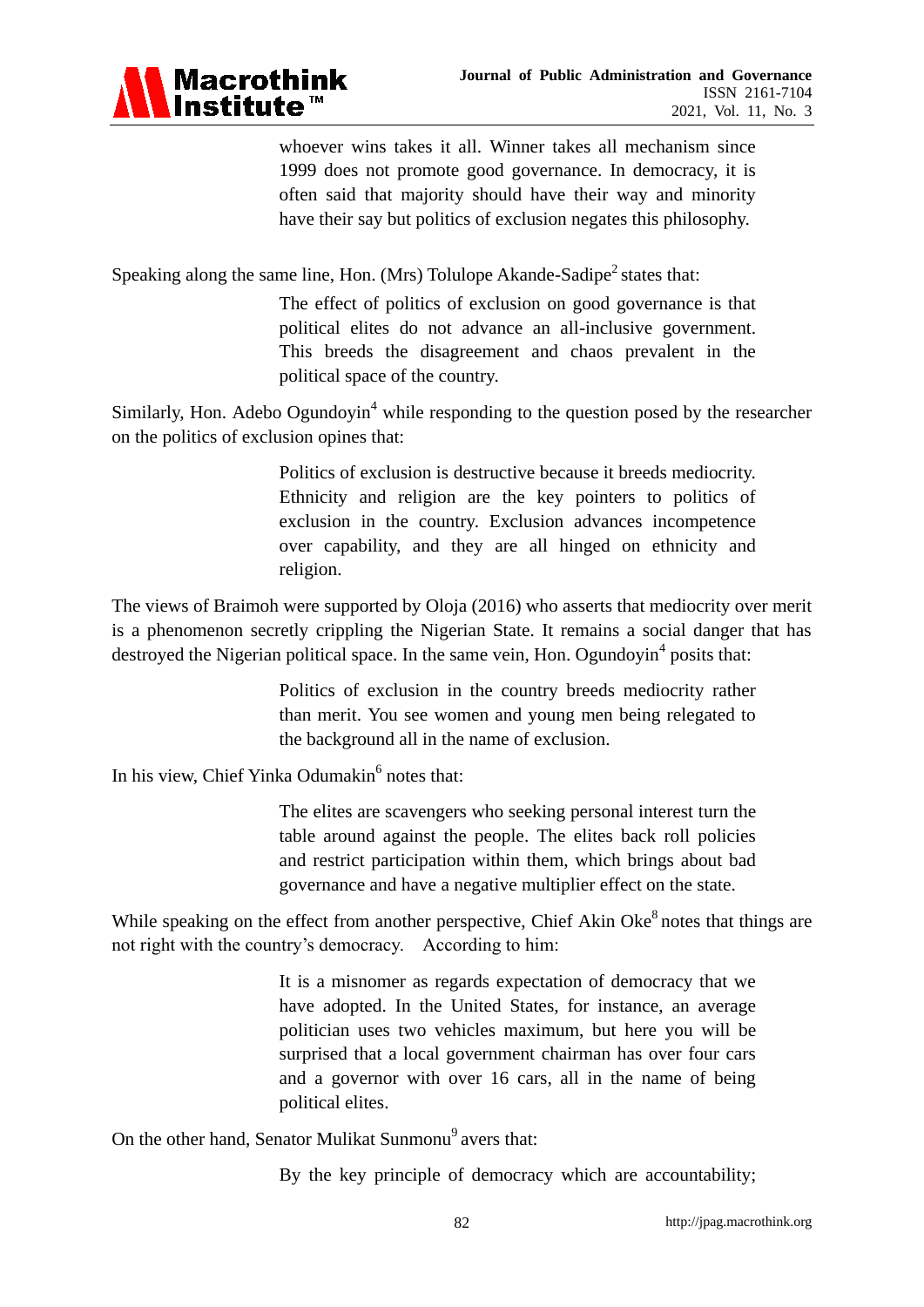

whoever wins takes it all. Winner takes all mechanism since 1999 does not promote good governance. In democracy, it is often said that majority should have their way and minority have their say but politics of exclusion negates this philosophy.

Speaking along the same line, Hon. (Mrs) Tolulope Akande-Sadipe<sup>2</sup> states that:

The effect of politics of exclusion on good governance is that political elites do not advance an all-inclusive government. This breeds the disagreement and chaos prevalent in the political space of the country.

Similarly, Hon. Adebo Ogundoyin<sup>4</sup> while responding to the question posed by the researcher on the politics of exclusion opines that:

> Politics of exclusion is destructive because it breeds mediocrity. Ethnicity and religion are the key pointers to politics of exclusion in the country. Exclusion advances incompetence over capability, and they are all hinged on ethnicity and religion.

The views of Braimoh were supported by Oloja (2016) who asserts that mediocrity over merit is a phenomenon secretly crippling the Nigerian State. It remains a social danger that has destroyed the Nigerian political space. In the same vein, Hon. Ogundoyin<sup>4</sup> posits that:

> Politics of exclusion in the country breeds mediocrity rather than merit. You see women and young men being relegated to the background all in the name of exclusion.

In his view, Chief Yinka Odumakin<sup>6</sup> notes that:

The elites are scavengers who seeking personal interest turn the table around against the people. The elites back roll policies and restrict participation within them, which brings about bad governance and have a negative multiplier effect on the state.

While speaking on the effect from another perspective, Chief Akin Oke $\delta$  notes that things are not right with the country's democracy. According to him:

> It is a misnomer as regards expectation of democracy that we have adopted. In the United States, for instance, an average politician uses two vehicles maximum, but here you will be surprised that a local government chairman has over four cars and a governor with over 16 cars, all in the name of being political elites.

On the other hand, Senator Mulikat Sunmonu<sup>9</sup> avers that:

By the key principle of democracy which are accountability;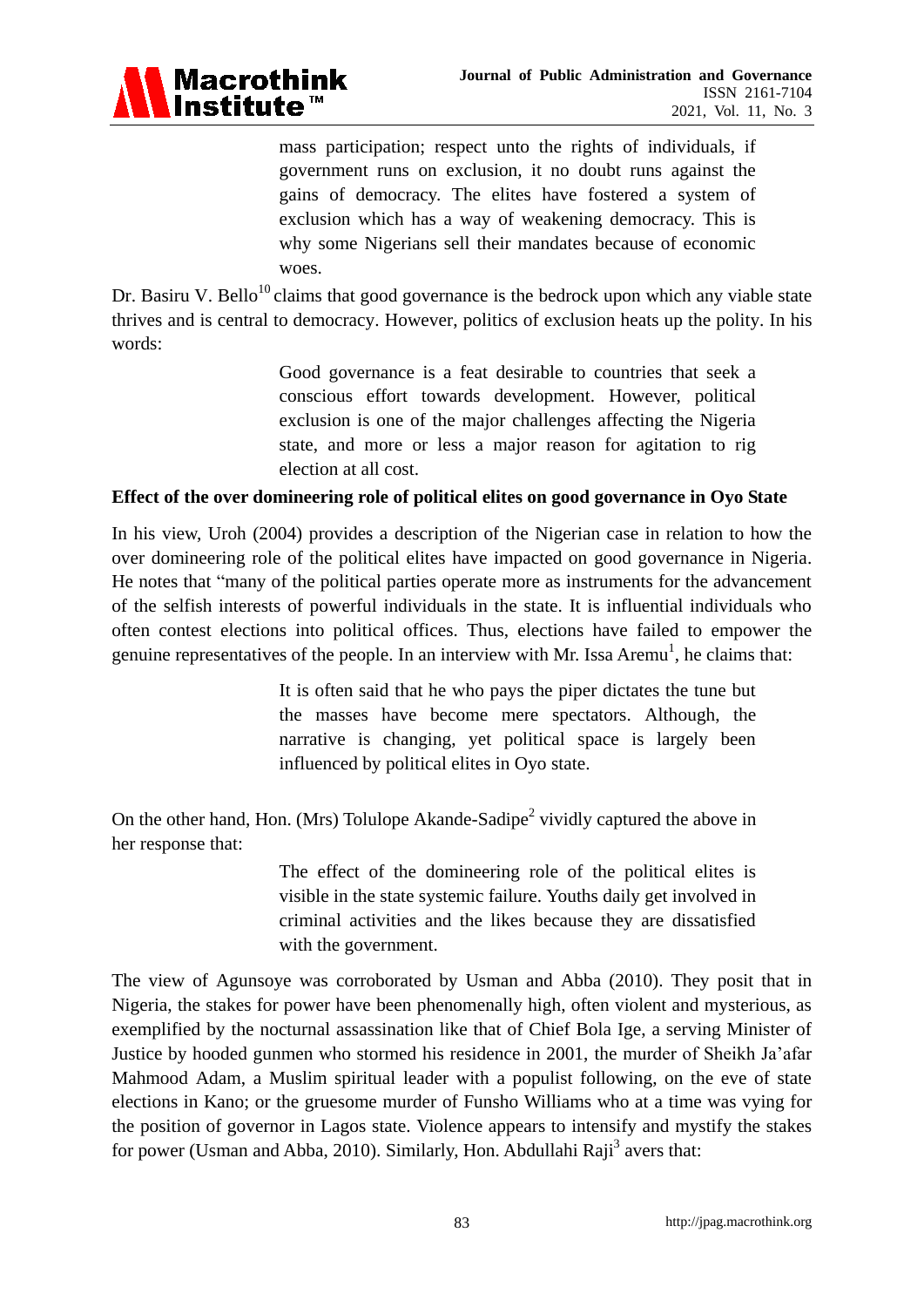

mass participation; respect unto the rights of individuals, if government runs on exclusion, it no doubt runs against the gains of democracy. The elites have fostered a system of exclusion which has a way of weakening democracy. This is why some Nigerians sell their mandates because of economic woes.

Dr. Basiru V. Bello<sup>10</sup>claims that good governance is the bedrock upon which any viable state thrives and is central to democracy. However, politics of exclusion heats up the polity. In his words:

> Good governance is a feat desirable to countries that seek a conscious effort towards development. However, political exclusion is one of the major challenges affecting the Nigeria state, and more or less a major reason for agitation to rig election at all cost.

#### **Effect of the over domineering role of political elites on good governance in Oyo State**

In his view, Uroh (2004) provides a description of the Nigerian case in relation to how the over domineering role of the political elites have impacted on good governance in Nigeria. He notes that "many of the political parties operate more as instruments for the advancement of the selfish interests of powerful individuals in the state. It is influential individuals who often contest elections into political offices. Thus, elections have failed to empower the genuine representatives of the people. In an interview with Mr. Issa Aremu<sup>1</sup>, he claims that:

> It is often said that he who pays the piper dictates the tune but the masses have become mere spectators. Although, the narrative is changing, yet political space is largely been influenced by political elites in Oyo state.

On the other hand, Hon. (Mrs) Tolulope Akande-Sadipe<sup>2</sup> vividly captured the above in her response that:

> The effect of the domineering role of the political elites is visible in the state systemic failure. Youths daily get involved in criminal activities and the likes because they are dissatisfied with the government.

The view of Agunsoye was corroborated by Usman and Abba (2010). They posit that in Nigeria, the stakes for power have been phenomenally high, often violent and mysterious, as exemplified by the nocturnal assassination like that of Chief Bola Ige, a serving Minister of Justice by hooded gunmen who stormed his residence in 2001, the murder of Sheikh Ja'afar Mahmood Adam, a Muslim spiritual leader with a populist following, on the eve of state elections in Kano; or the gruesome murder of Funsho Williams who at a time was vying for the position of governor in Lagos state. Violence appears to intensify and mystify the stakes for power (Usman and Abba, 2010). Similarly, Hon. Abdullahi Raji<sup>3</sup> avers that: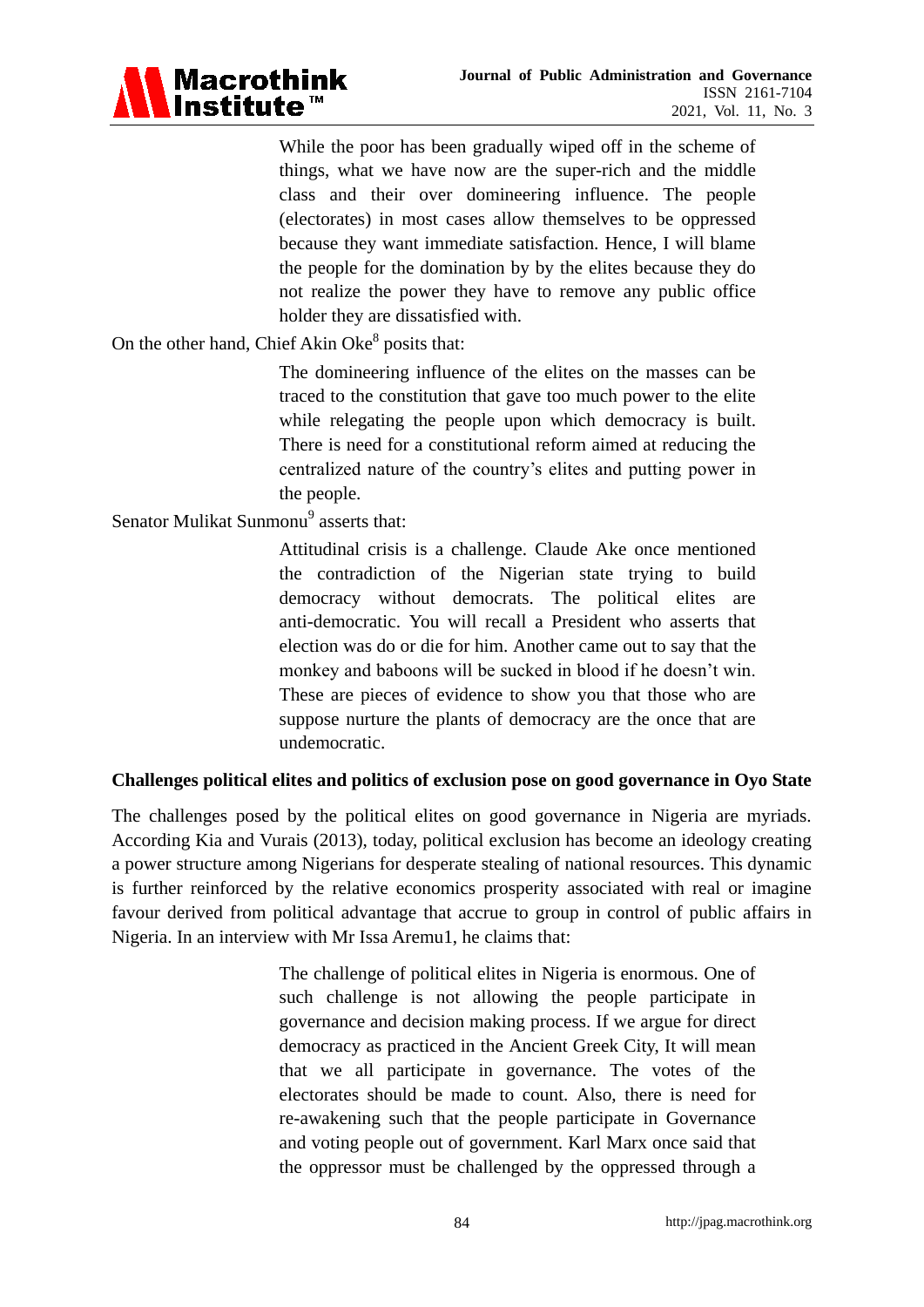

While the poor has been gradually wiped off in the scheme of things, what we have now are the super-rich and the middle class and their over domineering influence. The people (electorates) in most cases allow themselves to be oppressed because they want immediate satisfaction. Hence, I will blame the people for the domination by by the elites because they do not realize the power they have to remove any public office holder they are dissatisfied with.

# On the other hand, Chief Akin Oke<sup>8</sup> posits that:

The domineering influence of the elites on the masses can be traced to the constitution that gave too much power to the elite while relegating the people upon which democracy is built. There is need for a constitutional reform aimed at reducing the centralized nature of the country's elites and putting power in the people.

Senator Mulikat Sunmonu<sup>9</sup> asserts that:

Attitudinal crisis is a challenge. Claude Ake once mentioned the contradiction of the Nigerian state trying to build democracy without democrats. The political elites are anti-democratic. You will recall a President who asserts that election was do or die for him. Another came out to say that the monkey and baboons will be sucked in blood if he doesn't win. These are pieces of evidence to show you that those who are suppose nurture the plants of democracy are the once that are undemocratic.

# **Challenges political elites and politics of exclusion pose on good governance in Oyo State**

The challenges posed by the political elites on good governance in Nigeria are myriads. According Kia and Vurais (2013), today, political exclusion has become an ideology creating a power structure among Nigerians for desperate stealing of national resources. This dynamic is further reinforced by the relative economics prosperity associated with real or imagine favour derived from political advantage that accrue to group in control of public affairs in Nigeria. In an interview with Mr Issa Aremu1, he claims that:

> The challenge of political elites in Nigeria is enormous. One of such challenge is not allowing the people participate in governance and decision making process. If we argue for direct democracy as practiced in the Ancient Greek City, It will mean that we all participate in governance. The votes of the electorates should be made to count. Also, there is need for re-awakening such that the people participate in Governance and voting people out of government. Karl Marx once said that the oppressor must be challenged by the oppressed through a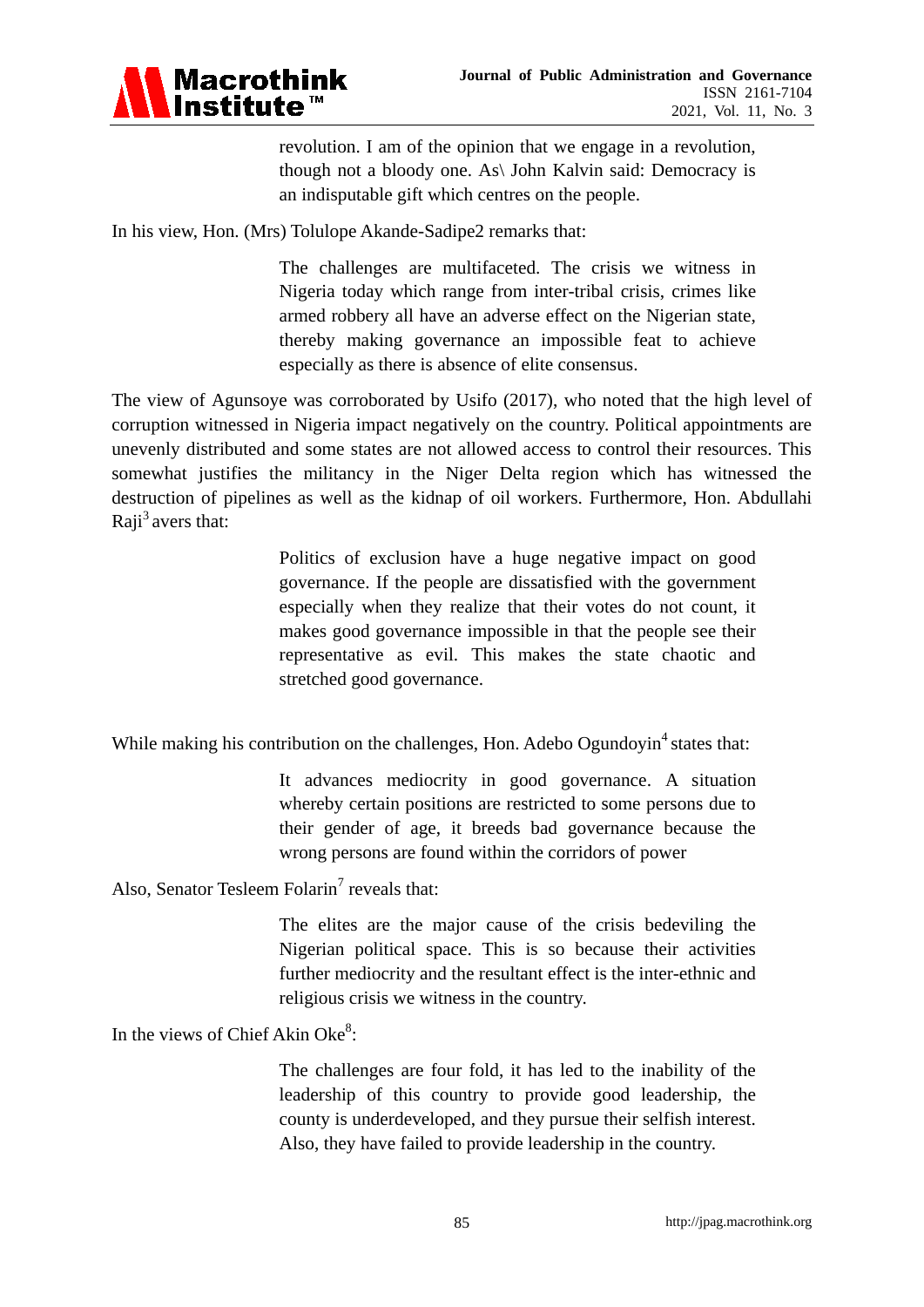

revolution. I am of the opinion that we engage in a revolution, though not a bloody one. As\ John Kalvin said: Democracy is an indisputable gift which centres on the people.

In his view, Hon. (Mrs) Tolulope Akande-Sadipe2 remarks that:

The challenges are multifaceted. The crisis we witness in Nigeria today which range from inter-tribal crisis, crimes like armed robbery all have an adverse effect on the Nigerian state, thereby making governance an impossible feat to achieve especially as there is absence of elite consensus.

The view of Agunsoye was corroborated by Usifo (2017), who noted that the high level of corruption witnessed in Nigeria impact negatively on the country. Political appointments are unevenly distributed and some states are not allowed access to control their resources. This somewhat justifies the militancy in the Niger Delta region which has witnessed the destruction of pipelines as well as the kidnap of oil workers. Furthermore, Hon. Abdullahi Raji<sup>3</sup> avers that:

> Politics of exclusion have a huge negative impact on good governance. If the people are dissatisfied with the government especially when they realize that their votes do not count, it makes good governance impossible in that the people see their representative as evil. This makes the state chaotic and stretched good governance.

While making his contribution on the challenges, Hon. Adebo Ogundoyin<sup>4</sup> states that:

It advances mediocrity in good governance. A situation whereby certain positions are restricted to some persons due to their gender of age, it breeds bad governance because the wrong persons are found within the corridors of power

Also, Senator Tesleem Folarin<sup>7</sup> reveals that:

The elites are the major cause of the crisis bedeviling the Nigerian political space. This is so because their activities further mediocrity and the resultant effect is the inter-ethnic and religious crisis we witness in the country.

In the views of Chief Akin Oke<sup>8</sup>:

The challenges are four fold, it has led to the inability of the leadership of this country to provide good leadership, the county is underdeveloped, and they pursue their selfish interest. Also, they have failed to provide leadership in the country.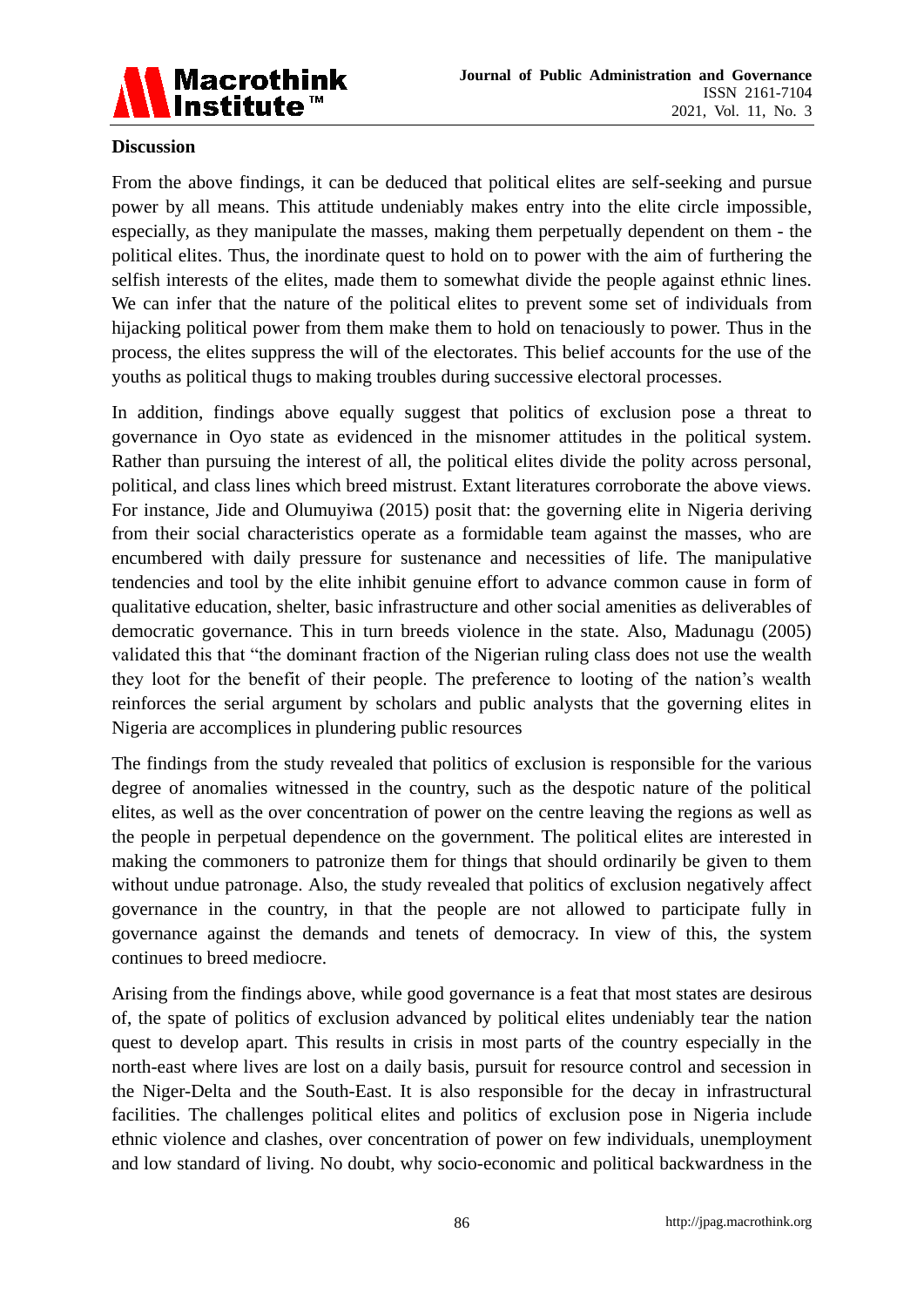

# **Discussion**

From the above findings, it can be deduced that political elites are self-seeking and pursue power by all means. This attitude undeniably makes entry into the elite circle impossible, especially, as they manipulate the masses, making them perpetually dependent on them - the political elites. Thus, the inordinate quest to hold on to power with the aim of furthering the selfish interests of the elites, made them to somewhat divide the people against ethnic lines. We can infer that the nature of the political elites to prevent some set of individuals from hijacking political power from them make them to hold on tenaciously to power. Thus in the process, the elites suppress the will of the electorates. This belief accounts for the use of the youths as political thugs to making troubles during successive electoral processes.

In addition, findings above equally suggest that politics of exclusion pose a threat to governance in Oyo state as evidenced in the misnomer attitudes in the political system. Rather than pursuing the interest of all, the political elites divide the polity across personal, political, and class lines which breed mistrust. Extant literatures corroborate the above views. For instance, Jide and Olumuyiwa (2015) posit that: the governing elite in Nigeria deriving from their social characteristics operate as a formidable team against the masses, who are encumbered with daily pressure for sustenance and necessities of life. The manipulative tendencies and tool by the elite inhibit genuine effort to advance common cause in form of qualitative education, shelter, basic infrastructure and other social amenities as deliverables of democratic governance. This in turn breeds violence in the state. Also, Madunagu (2005) validated this that "the dominant fraction of the Nigerian ruling class does not use the wealth they loot for the benefit of their people. The preference to looting of the nation's wealth reinforces the serial argument by scholars and public analysts that the governing elites in Nigeria are accomplices in plundering public resources

The findings from the study revealed that politics of exclusion is responsible for the various degree of anomalies witnessed in the country, such as the despotic nature of the political elites, as well as the over concentration of power on the centre leaving the regions as well as the people in perpetual dependence on the government. The political elites are interested in making the commoners to patronize them for things that should ordinarily be given to them without undue patronage. Also, the study revealed that politics of exclusion negatively affect governance in the country, in that the people are not allowed to participate fully in governance against the demands and tenets of democracy. In view of this, the system continues to breed mediocre.

Arising from the findings above, while good governance is a feat that most states are desirous of, the spate of politics of exclusion advanced by political elites undeniably tear the nation quest to develop apart. This results in crisis in most parts of the country especially in the north-east where lives are lost on a daily basis, pursuit for resource control and secession in the Niger-Delta and the South-East. It is also responsible for the decay in infrastructural facilities. The challenges political elites and politics of exclusion pose in Nigeria include ethnic violence and clashes, over concentration of power on few individuals, unemployment and low standard of living. No doubt, why socio-economic and political backwardness in the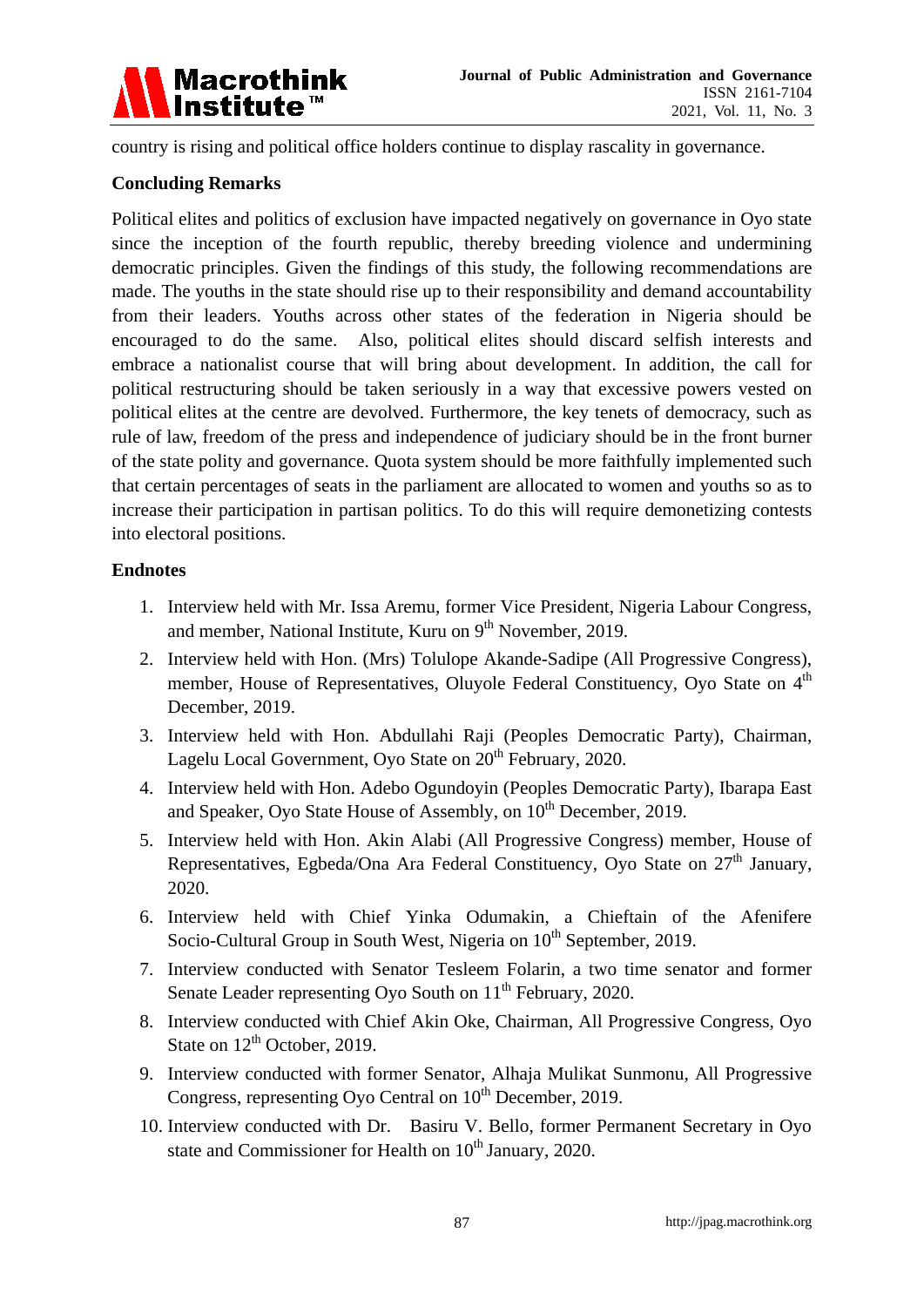

country is rising and political office holders continue to display rascality in governance.

# **Concluding Remarks**

Political elites and politics of exclusion have impacted negatively on governance in Oyo state since the inception of the fourth republic, thereby breeding violence and undermining democratic principles. Given the findings of this study, the following recommendations are made. The youths in the state should rise up to their responsibility and demand accountability from their leaders. Youths across other states of the federation in Nigeria should be encouraged to do the same. Also, political elites should discard selfish interests and embrace a nationalist course that will bring about development. In addition, the call for political restructuring should be taken seriously in a way that excessive powers vested on political elites at the centre are devolved. Furthermore, the key tenets of democracy, such as rule of law, freedom of the press and independence of judiciary should be in the front burner of the state polity and governance. Quota system should be more faithfully implemented such that certain percentages of seats in the parliament are allocated to women and youths so as to increase their participation in partisan politics. To do this will require demonetizing contests into electoral positions.

# **Endnotes**

- 1. Interview held with Mr. Issa Aremu, former Vice President, Nigeria Labour Congress, and member, National Institute, Kuru on 9<sup>th</sup> November, 2019.
- 2. Interview held with Hon. (Mrs) Tolulope Akande-Sadipe (All Progressive Congress), member, House of Representatives, Oluyole Federal Constituency, Oyo State on 4<sup>th</sup> December, 2019.
- 3. Interview held with Hon. Abdullahi Raji (Peoples Democratic Party), Chairman, Lagelu Local Government, Oyo State on 20<sup>th</sup> February, 2020.
- 4. Interview held with Hon. Adebo Ogundoyin (Peoples Democratic Party), Ibarapa East and Speaker, Oyo State House of Assembly, on  $10^{th}$  December, 2019.
- 5. Interview held with Hon. Akin Alabi (All Progressive Congress) member, House of Representatives, Egbeda/Ona Ara Federal Constituency, Oyo State on  $27<sup>th</sup>$  January, 2020.
- 6. Interview held with Chief Yinka Odumakin, a Chieftain of the Afenifere Socio-Cultural Group in South West, Nigeria on 10<sup>th</sup> September, 2019.
- 7. Interview conducted with Senator Tesleem Folarin, a two time senator and former Senate Leader representing Oyo South on 11<sup>th</sup> February, 2020.
- 8. Interview conducted with Chief Akin Oke, Chairman, All Progressive Congress, Oyo State on  $12<sup>th</sup>$  October, 2019.
- 9. Interview conducted with former Senator, Alhaja Mulikat Sunmonu, All Progressive Congress, representing Oyo Central on  $10^{th}$  December, 2019.
- 10. Interview conducted with Dr. Basiru V. Bello, former Permanent Secretary in Oyo state and Commissioner for Health on 10<sup>th</sup> January, 2020.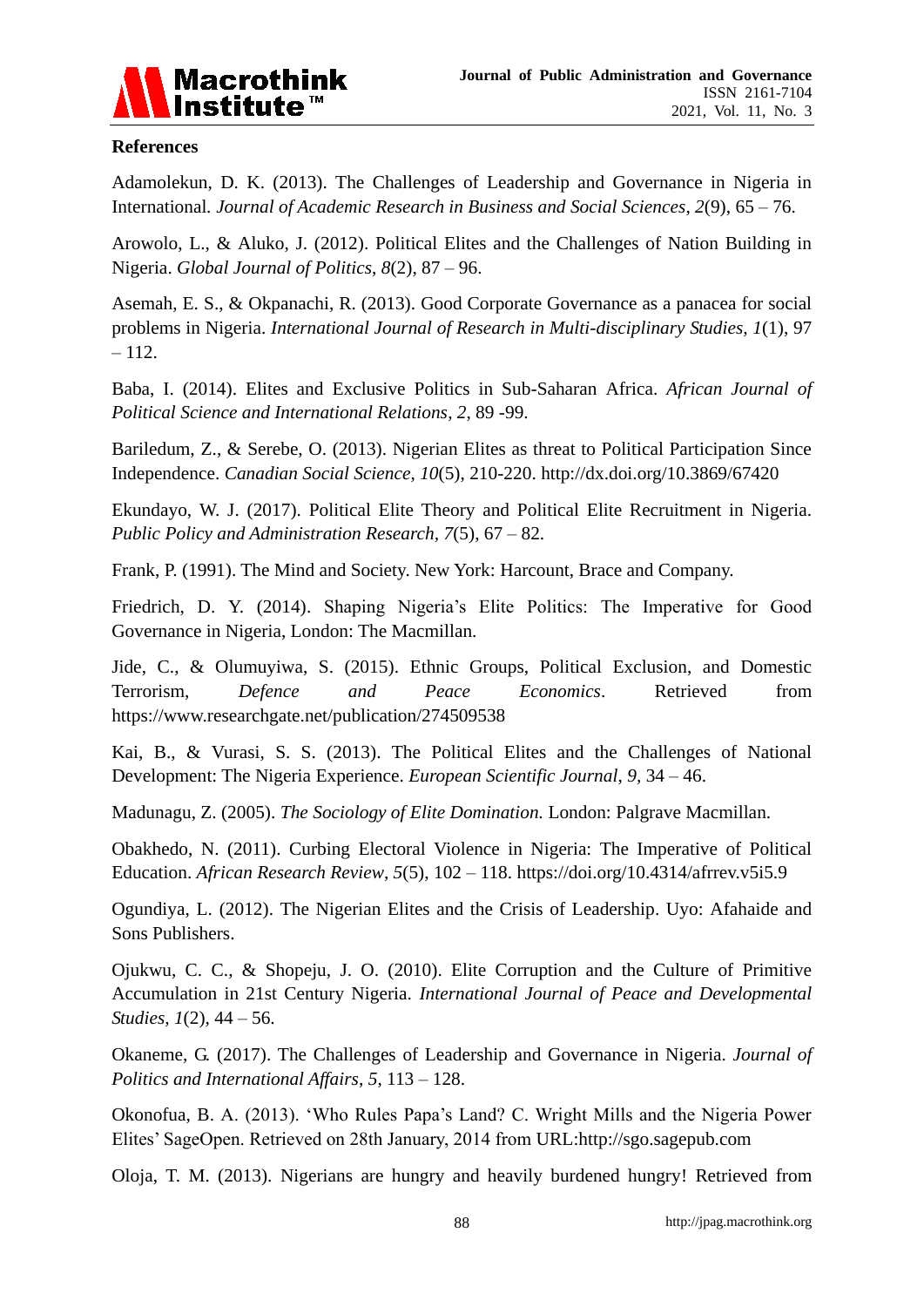

# **References**

Adamolekun, D. K. (2013). The Challenges of Leadership and Governance in Nigeria in International*. Journal of Academic Research in Business and Social Sciences*, *2*(9), 65 – 76.

Arowolo, L., & Aluko, J. (2012). Political Elites and the Challenges of Nation Building in Nigeria. *Global Journal of Politics*, *8*(2), 87 – 96.

Asemah, E. S., & Okpanachi, R. (2013). Good Corporate Governance as a panacea for social problems in Nigeria. *International Journal of Research in Multi-disciplinary Studies, 1*(1), 97  $-112.$ 

Baba, I. (2014). Elites and Exclusive Politics in Sub-Saharan Africa. *African Journal of Political Science and International Relations, 2*, 89 -99.

Bariledum, Z., & Serebe, O. (2013). Nigerian Elites as threat to Political Participation Since Independence. *Canadian Social Science*, *10*(5), 210-220. http://dx.doi.org/10.3869/67420

Ekundayo, W. J. (2017). Political Elite Theory and Political Elite Recruitment in Nigeria. *Public Policy and Administration Research, 7*(5), 67 – 82.

Frank, P. (1991). The Mind and Society. New York: Harcount, Brace and Company.

Friedrich, D. Y. (2014). Shaping Nigeria's Elite Politics: The Imperative for Good Governance in Nigeria, London: The Macmillan.

Jide, C., & Olumuyiwa, S. (2015). Ethnic Groups, Political Exclusion, and Domestic Terrorism, *Defence and Peace Economics*. Retrieved from <https://www.researchgate.net/publication/274509538>

Kai, B., & Vurasi, S. S. (2013). The Political Elites and the Challenges of National Development: The Nigeria Experience. *European Scientific Journal*, *9,* 34 – 46.

Madunagu, Z. (2005). *The Sociology of Elite Domination.* London: Palgrave Macmillan.

Obakhedo, N. (2011). Curbing Electoral Violence in Nigeria: The Imperative of Political Education. *African Research Review*, *5*(5), 102 – 118. <https://doi.org/10.4314/afrrev.v5i5.9>

Ogundiya, L. (2012). The Nigerian Elites and the Crisis of Leadership. Uyo: Afahaide and Sons Publishers.

Ojukwu, C. C., & Shopeju, J. O. (2010). Elite Corruption and the Culture of Primitive Accumulation in 21st Century Nigeria. *International Journal of Peace and Developmental Studies, 1*(2), 44 – 56.

Okaneme, G. (2017). The Challenges of Leadership and Governance in Nigeria. *Journal of Politics and International Affairs*, *5*, 113 – 128.

Okonofua, B. A. (2013). 'Who Rules Papa's Land? C. Wright Mills and the Nigeria Power Elites' SageOpen. Retrieved on 28th January, 2014 from [URL:http://sgo.sagepub.com](http://sgo.sagepub.com/)

Oloja, T. M. (2013). Nigerians are hungry and heavily burdened hungry! Retrieved from